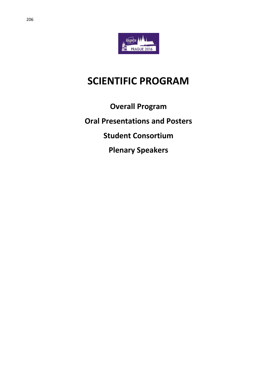

# **SCIENTIFIC PROGRAM**

# **Overall Program Oral Presentations and Posters Student Consortium Plenary Speakers**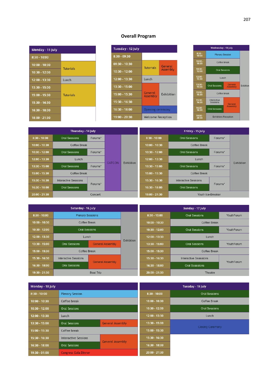| Monday - 11 July |                  |  |  |  |
|------------------|------------------|--|--|--|
| 8:30 - 10:00     |                  |  |  |  |
| 10:00 - 10:30    |                  |  |  |  |
| 10:30 - 12:00    | <b>Tutorials</b> |  |  |  |
| 12:00 - 13:30    | Lunch            |  |  |  |
| 13:30 - 15:00    |                  |  |  |  |
| 15:00 - 15:30    | <b>Tutorials</b> |  |  |  |
| 15:30 - 16:30    |                  |  |  |  |
| 16:30 - 18:00    |                  |  |  |  |
| 18:00 - 21:30    |                  |  |  |  |

| Tuesday - 12 July |                                          |          |
|-------------------|------------------------------------------|----------|
| 8:30 - 09:30      |                                          |          |
| 09:30 - 10:30     | <b>Tutorials</b>                         | General  |
| 10:30 - 12:00     |                                          | Assembly |
| 12:00 - 13:30     | Lunch                                    |          |
| 13:30 - 15:00     |                                          |          |
| 15:00 - 15:30     | General<br>Exhibition<br><b>Assembly</b> |          |
| 15:30 - 16:30     |                                          |          |
| $16:30 - 18:00$   | Opening ceremony                         |          |
| 19:00 - 20:30     | <b>Welcome Reception</b>                 |          |

|                    | Wednesday - 13 July                                |                 |                  |
|--------------------|----------------------------------------------------|-----------------|------------------|
| $8:30 -$<br>10:00  | <b>Plenary Session</b>                             |                 |                  |
| $10:00 -$<br>10:30 | Coffee break                                       |                 |                  |
| $10:30 -$<br>12:00 | <b>Oral Sessions</b>                               |                 |                  |
| $12:00 -$<br>13:30 | Lunch                                              |                 |                  |
| $13:30 -$<br>15:00 | General<br><b>Oral Sessions</b><br><b>Assembly</b> |                 | <b>Fxibition</b> |
| $15:00 -$<br>15:30 | Coffee break                                       |                 |                  |
| $15:30 -$<br>16:30 | Interactive<br>Sessions                            | General         |                  |
| $16:30 -$<br>18:00 | <b>Oral Sessions</b>                               | <b>Assembly</b> |                  |
| $18:00 -$<br>20:30 | <b>Exhibitors Reception</b>                        |                 |                  |

| Thursday - 14 July |                             |         |                      | Friday - 15 July |               |                             |                      |                      |               |                      |         |  |
|--------------------|-----------------------------|---------|----------------------|------------------|---------------|-----------------------------|----------------------|----------------------|---------------|----------------------|---------|--|
| $8:30 - 10:00$     | <b>Oral Sessions</b>        | Forums* |                      |                  |               | $8:30 - 10:00$              | <b>Oral Sessions</b> | Forums <sup>*</sup>  |               |                      |         |  |
| $10:00 - 10:30$    | Coffee Break                |         |                      |                  | 10:00 - 10:30 | Coffee Break                |                      |                      |               |                      |         |  |
| 10:30 - 12:00      | Oral Sessions               | Forums* | CATCON<br>Exhibition |                  |               |                             |                      |                      | 10:30 - 12:00 | <b>Oral Sessions</b> | Forums* |  |
| 12:00 - 13:30      | Lunch                       |         |                      |                  |               | 12:00 - 13:30               | Lunch                |                      | Exhibition    |                      |         |  |
| 13:30 - 15:00      | Oral Sessions               | Forums* |                      |                  |               |                             | 13:30 - 15:00        | <b>Oral Sessions</b> | Forums*       |                      |         |  |
| 15:00 - 15:30      | Coffee Break                |         |                      |                  |               | 15:00 - 15:30               | Coffee Break         |                      |               |                      |         |  |
| 15:30 - 16:30      | <b>Interactive Sessions</b> | Forums* |                      |                  | 15:30 - 16:30 | <b>Interactive Sessions</b> | Forums*              |                      |               |                      |         |  |
| $16:30 - 18:00$    | Oral Sessions               |         |                      |                  | 16:30 - 18:00 | <b>Oral Sessions</b>        |                      |                      |               |                      |         |  |
| 20:00 - 21:30      |                             | Concert |                      |                  | 19:00 - 21:30 |                             | Youth Ice-Breaker    |                      |               |                      |         |  |

| Saturday - 16 July |                             |                         |                   | Sunday - 17 July |                       |                   |
|--------------------|-----------------------------|-------------------------|-------------------|------------------|-----------------------|-------------------|
| $8:30 - 10:00$     | <b>Plenary Sessions</b>     |                         |                   | $8:30 - 10:00$   | <b>Oral Sessions</b>  | <b>YouthForum</b> |
| 10:00 - 10:30      | Coffee Break                |                         |                   | $10:00 - 10:30$  | Coffee Break          |                   |
| 10:30 - 12:00      | Oral Sessions               |                         |                   | $10:30 - 12:00$  | <b>Oral Sessions</b>  | <b>YouthForum</b> |
| 12:00 - 13:30      | Lunch                       |                         | <b>Exhibition</b> | $12:00 - 13:30$  | Lunch                 |                   |
| 13:30 - 15:00      | Oral Sessions               | <b>General Assembly</b> |                   | $13:30 - 15:00$  | Oral Sessions         | YouthForum        |
| 15:00 - 15:30      | Coffee Break                |                         |                   | $15:00 - 15:30$  | Coffee Break          |                   |
| 15:30 - 16:30      | <b>Interactive Sessions</b> |                         |                   | 15:30 - 16:30    | Interactive Seassions | YouthForum        |
| 16:30 - 18:00      | Oral Sessions               | <b>General Assembly</b> |                   | $16:30 - 18:00$  | Oral Seassions        |                   |
| 19:30 - 21:30      | Boat Trip                   |                         |                   | 20:00 - 21:30    | <b>Theatre</b>        |                   |

| Monday - 18 July |                             |                         | Tuesday - 19 July |                         |  |
|------------------|-----------------------------|-------------------------|-------------------|-------------------------|--|
| $8:30 - 10:00$   | <b>Plenary Session</b>      |                         | $8:30 - 10:00$    | Oral Sessions           |  |
| $10:00 - 10:30$  | Coffee break                |                         | $10:00 - 10:30$   | Coffee Break            |  |
| $10:30 - 12:00$  | <b>Oral Sessions</b>        |                         | 10:30 - 12:00     | Oral Sessions           |  |
| 12:00 - 13:30    | Lunch                       |                         | 12:00 - 13:30     | Lunch                   |  |
| 13:30 - 15:00    | <b>Oral Sessions</b>        | <b>General Assembly</b> | $13:30 - 15:00$   | <b>Closing Ceremony</b> |  |
| 15:00 - 15:30    | Coffee break                |                         | 15:00 - 15:30     |                         |  |
| 15:30 - 16:30    | <b>Interactive Sessions</b> |                         | 15:30 - 16:30     |                         |  |
| $16:30 - 18:00$  | <b>Oral Sessions</b>        | <b>General Assembly</b> | $16:30 - 18:00$   |                         |  |
| 19:30 - 01:00    | <b>Congress Gala Dinner</b> |                         | $20:00 - 21:30$   |                         |  |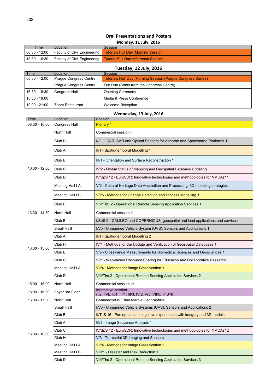### **Oral Presentations and Posters Monday, 11 July, 2016**

| Time | Location | Session                                                                         |
|------|----------|---------------------------------------------------------------------------------|
|      |          |                                                                                 |
|      |          | 13:30 - 16:30 Faculty of Civil Engineering Tutorial Full Day: Afternoon Session |

# **Tuesday, 12 July, 2016**

| Time          | Location                      | Session                                                      |
|---------------|-------------------------------|--------------------------------------------------------------|
| 08:30 - 12:00 | <b>Prague Congress Centre</b> | Tutorials Half Day: Morning Session (Praque Congress Centre) |
|               | <b>Praque Congress Centre</b> | Fun Run (Starts from the Congress Centre)                    |
| 16:30 - 18:30 | Congress Hall                 | <b>Opening Ceremony</b>                                      |
| 18:30 - 19:00 |                               | Media & Press Conference                                     |
| 19:00 - 21:00 | Zoom Restaurant               | Welcome Reception                                            |

#### **Wednesday, 13 July, 2016**

| Time            | Location             | Session                                                                         |
|-----------------|----------------------|---------------------------------------------------------------------------------|
| $08:30 - 10:00$ | <b>Congress Hall</b> | <b>Plenary 1</b>                                                                |
|                 | North Hall           | Commercial session I                                                            |
|                 | Club H               | I/2 - LiDAR, SAR and Optical Sensors for Airborne and Spaceborne Platforms 1    |
|                 | Club A               | II/1 - Spatio-temporal Modelling 1                                              |
|                 | Club B               | III/1 - Orientation and Surface Reconstruction 1                                |
| 10:30 - 12:00   | Club <sub>C</sub>    | IV/2 - Global Status of Mapping and Geospatial Database Updating                |
|                 | Club D               | IV/SpS 12 - EuroSDR: Innovative technologies and methodologies for NMCAs" 1     |
|                 | Meeting Hall I A     | V/2 - Cultural Heritage Data Acquisition and Processing: 3D modeling strategies |
|                 | Meeting Hall I B     | VII/5 - Methods for Change Detection and Process Modelling 1                    |
|                 | Club E               | VIII/ThS 2 - Operational Remote Sensing Application Services 1                  |
| 13:30 - 14:30   | North Hall           | Commercial session II                                                           |
|                 | Club B               | I/SpS 9 - GALILEO and COPERNICUS: geospatial and land applications and services |
|                 | Small Halll          | I/Vb - Unmanned Vehicle System (UVS): Sensors and Applications 1                |
|                 | Club A               | II/1 - Spatio-temporal Modelling 2                                              |
|                 | Club H               | IV/1 - Methods for the Update and Verification of Geospatial Databases 1        |
| 13:30 - 15:00   | Club E               | V/5 - Close-range Measurements for Biomedical Sciences and Geosciences 1        |
|                 | Club <sub>C</sub>    | VI/1 - Web-based Resource Sharing for Education and Collaborative Research      |
|                 | Meeting Hall I A     | VII/4 - Methods for Image Classification 1                                      |
|                 | Club <sub>D</sub>    | VIII/Ths 2 - Operational Remote Sensing Application Services 2                  |
| 15:00 - 16:00   | North Hall           | Commercial session III                                                          |
| 15:00 - 16:30   | Foyer 3rd Floor      | Interactive session<br>(1/2, 1/Vb, 11/1, 111/1, 111/3, IV/2, V/3, VII/5, ThS16) |
| 16:30 - 17:30   | North Hall           | Commercial IV: Blue Marble Geographics                                          |
|                 | Small Halll          | I/Vb - Unmanned Vehicle Systems (UVS): Sensors and Applications 2               |
|                 | Club B               | II/ThS 16 - Perceptual and cognitive experiments with imagery and 3D models     |
|                 | Club A               | III/3 - Image Sequence Analysis 1                                               |
| 16:30 - 18:00   | Club <sub>C</sub>    | IV/SpS 12 - EuroSDR: Innovative technologies and methodologies for NMCAs" 2     |
|                 | Club H               | V/3 - Terrestrial 3D Imaging and Sensors 1                                      |
|                 | Meeting Hall I A     | VII/4 - Methods for Image Classification 2                                      |
|                 | Meeting Hall I B     | VIII/1 - Disaster and Risk Reduction 1                                          |
|                 | Club D               | VIII/Ths 2 - Operational Remote Sensing Application Services 3                  |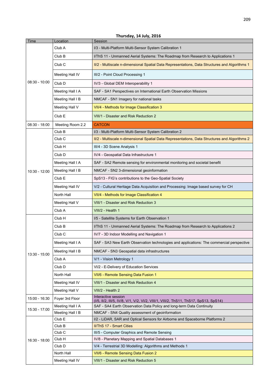| Time            | Location          | Session                                                                                                     |
|-----------------|-------------------|-------------------------------------------------------------------------------------------------------------|
|                 | Club A            | I/3 - Multi-Platform Multi-Sensor System Calibration 1                                                      |
|                 | Club B            | I/ThS 11 - Unmanned Aerial Systems: The Roadmap from Research to Applications 1                             |
|                 | Club C            | II/2 - Multiscale n-dimensional Spatial Data Representations, Data Structures and Algorithms 1              |
|                 | Meeting Hall IV   | III/2 - Point Cloud Processing 1                                                                            |
| $08:30 - 10:00$ | Club <sub>D</sub> | IV/3 - Global DEM Interoperability 1                                                                        |
|                 | Meeting Hall I A  | SAF - SA1 Perspectives on International Earth Observation Missions                                          |
|                 | Meeting Hall I B  | NMCAF - SN1 Imagery for national tasks                                                                      |
|                 | Meeting Hall V    | VII/4 - Methods for Image Classification 3                                                                  |
|                 | Club E            | VIII/1 - Disaster and Risk Reduction 2                                                                      |
| $08:30 - 18:00$ | Meeting Room 2.2  | <b>CATCON</b>                                                                                               |
|                 | Club B            | I/3 - Multi-Platform Multi-Sensor System Calibration 2                                                      |
|                 | Club <sub>C</sub> | II/2 - Multiscale n-dimensional Spatial Data Representations, Data Structures and Algorithms 2              |
|                 | Club H            | III/4 - 3D Scene Analysis 1                                                                                 |
|                 | Club D            | IV/4 - Geospatial Data Infrastructure 1                                                                     |
|                 | Meeting Hall I A  | SAF - SA2 Remote sensing for environmental monitoring and societal benefit                                  |
| 10:30 - 12:00   | Meeting Hall I B  | NMCAF - SN2 3-dimensional geoinformation                                                                    |
|                 | Club <sub>E</sub> | SpS13 - FIG's contributions to the Geo-Spatial Society                                                      |
|                 | Meeting Hall IV   | V/2 - Cultural Heritage Data Acquisition and Processing: Image based survey for CH                          |
|                 | North Hall        | VII/4 - Methods for Image Classification 4                                                                  |
|                 | Meeting Hall V    | VIII/1 - Disaster and Risk Reduction 3                                                                      |
|                 | Club A            | VIII/2 - Health 1                                                                                           |
|                 | Club H            | I/5 - Satellite Systems for Earth Observation 1                                                             |
|                 | Club B            | I/ThS 11 - Unmanned Aerial Systems: The Roadmap from Research to Applications 2                             |
|                 | Club <sub>C</sub> | IV/7 - 3D Indoor Modelling and Navigation 1                                                                 |
|                 | Meeting Hall I A  | SAF - SA3 New Earth Observation technologies and applications: The commercial perspective                   |
| 13:30 - 15:00   | Meeting Hall I B  | NMCAF - SN3 Geospatial data infrastructures                                                                 |
|                 | Club A            | V/1 - Vision Metrology 1                                                                                    |
|                 | Club D            | VI/2 - E-Delivery of Education Services                                                                     |
|                 | North Hall        | VII/6 - Remote Sensing Data Fusion 1                                                                        |
|                 | Meeting Hall IV   | VIII/1 - Disaster and Risk Reduction 4                                                                      |
|                 | Meeting Hall V    | VIII/2 - Health 2                                                                                           |
| 15:00 - 16:30   | Foyer 3rd Floor   | Interactive session<br>(1/5, 11/2, 111/5, 1V/8, V/1, V/2, VI/2, VIII/1, VIII/2, ThS11, ThS17, SpS13, SpS14) |
| 15:30 - 17:00   | Meeting Hall I A  | SAF - SA4 Earth Observation Data Policy and long-term Data Continuity                                       |
|                 | Meeting Hall I B  | NMCAF - SN4 Quality assessment of geoinformation                                                            |
|                 | Club E            | I/2 - LiDAR, SAR and Optical Sensors for Airborne and Spaceborne Platforms 2                                |
|                 | Club B            | <b>II/ThS 17 - Smart Cities</b>                                                                             |
|                 | Club C            | III/5 - Computer Graphics and Remote Sensing                                                                |
| 16:30 - 18:00   | Club H            | IV/8 - Planetary Mapping and Spatial Databases 1                                                            |
|                 | Club D            | V/4 - Terrestrial 3D Modelling: Algorithms and Methods 1                                                    |
|                 | North Hall        | VII/6 - Remote Sensing Data Fusion 2                                                                        |
|                 | Meeting Hall IV   | VIII/1 - Disaster and Risk Reduction 5                                                                      |

**Thursday, 14 July, 2016**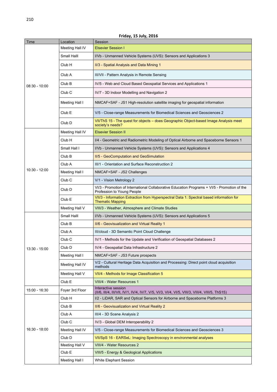| Time            | Location        | Session                                                                                                                    |
|-----------------|-----------------|----------------------------------------------------------------------------------------------------------------------------|
|                 | Meeting Hall IV | <b>Elsevier Session I</b>                                                                                                  |
|                 | Small Halll     | I/Vb - Unmanned Vehicle Systems (UVS): Sensors and Applications 3                                                          |
|                 | Club H          | II/3 - Spatial Analysis and Data Mining 1                                                                                  |
|                 | Club A          | III/VII - Pattern Analysis in Remote Sensing                                                                               |
| $08:30 - 10:00$ | Club B          | IV/5 - Web and Cloud Based Geospatial Services and Applications 1                                                          |
|                 | Club C          | IV/7 - 3D Indoor Modelling and Navigation 2                                                                                |
|                 | Meeting Hall I  | NMCAF+SAF - JS1 High-resolution satellite imaging for geospatial information                                               |
|                 | Club E          | V/5 - Close-range Measurements for Biomedical Sciences and Geosciences 2                                                   |
|                 | Club D          | VII/ThS 15 - The quest for objects - does Geographic Object-based Image Analysis meet<br>society's needs?                  |
|                 | Meeting Hall IV | <b>Elsevier Session II</b>                                                                                                 |
|                 | Club H          | I/4 - Geometric and Radiometric Modeling of Optical Airborne and Spaceborne Sensors 1                                      |
|                 | Small Hall I    | I/Vb - Unmanned Vehicle Systems (UVS): Sensors and Applications 4                                                          |
|                 | Club B          | <b>II/5 - GeoComputation and GeoSimulation</b>                                                                             |
|                 | Club A          | III/1 - Orientation and Surface Reconstruction 2                                                                           |
| $10:30 - 12:00$ | Meeting Hall I  | NMCAF+SAF - JS2 Challenges                                                                                                 |
|                 | Club C          | V/1 - Vision Metrology 2                                                                                                   |
|                 | Club D          | VI/3 - Promotion of International Collaborative Education Programs + VI/5 - Promotion of the<br>Profession to Young People |
|                 | Club E          | VII/3 - Information Extraction from Hyperspectral Data 1: Spectral based information for<br><b>Thematic Mapping</b>        |
|                 | Meeting Hall V  | VIII/3 - Weather, Atmosphere and Climate Studies                                                                           |
|                 | Small Halll     | I/Vb - Unmanned Vehicle Systems (UVS): Sensors and Applications 5                                                          |
|                 | Club B          | II/6 - Geovisualization and Virtual Reality 1                                                                              |
|                 | Club A          | III/cloud - 3D Semantic Point Cloud Challenge                                                                              |
|                 | Club C          | IV/1 - Methods for the Update and Verification of Geospatial Databases 2                                                   |
| 13:30 - 15:00   | Club D          | IV/4 - Geospatial Data Infrastructure 2                                                                                    |
|                 | Meeting Hall I  | NMCAF+SAF - JS3 Future prospects                                                                                           |
|                 | Meeting Hall IV | V/2 - Cultural Heritage Data Acquisition and Processing: Direct point cloud acquisition<br>methods                         |
|                 | Meeting Hall V  | VII/4 - Methods for Image Classification 5                                                                                 |
|                 | Club E          | VIII/4 - Water Resources 1                                                                                                 |
| 15:00 - 16:30   | Foyer 3rd Floor | Interactive session<br>(11/6, 111/4, 111/VII, IV/1, IV/4, IV/7, V/5, VI/3, VI/4, VI/5, VIII/3, VIII/4, VIII/5, ThS15)      |
|                 | Club H          | I/2 - LiDAR, SAR and Optical Sensors for Airborne and Spaceborne Platforms 3                                               |
|                 | Club B          | II/6 - Geovisualization and Virtual Reality 2                                                                              |
|                 | Club A          | III/4 - 3D Scene Analysis 2                                                                                                |
|                 | Club C          | IV/3 - Global DEM Interoperability 2                                                                                       |
| 16:30 - 18:00   | Meeting Hall IV | V/5 - Close-range Measurements for Biomedical Sciences and Geosciences 3                                                   |
|                 | Club D          | VII/SpS 16 - EARSeL: Imaging Spectroscopy in environmental analyses                                                        |
|                 | Meeting Hall V  | VIII/4 - Water Resources 2                                                                                                 |
|                 | Club E          | VIII/5 - Energy & Geological Applications                                                                                  |
|                 | Meeting Hall I  | White Elephant Session                                                                                                     |

**Friday, 15 July, 2016**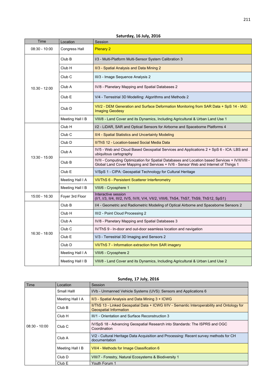| Time            | Location          | Session                                                                                                                                                                                |
|-----------------|-------------------|----------------------------------------------------------------------------------------------------------------------------------------------------------------------------------------|
| $08:30 - 10:00$ | Congress Hall     | <b>Plenary 2</b>                                                                                                                                                                       |
|                 | Club B            | I/3 - Multi-Platform Multi-Sensor System Calibration 3                                                                                                                                 |
|                 | Club H            | II/3 - Spatial Analysis and Data Mining 2                                                                                                                                              |
|                 | Club <sub>C</sub> | III/3 - Image Sequence Analysis 2                                                                                                                                                      |
| 10.30 - 12:00   | Club A            | IV/8 - Planetary Mapping and Spatial Databases 2                                                                                                                                       |
|                 | Club E            | V/4 - Terrestrial 3D Modelling: Algorithms and Methods 2                                                                                                                               |
|                 | Club D            | VII/2 - DEM Generation and Surface Deformation Monitoring from SAR Data + SpS 14 - IAG:<br><b>Imaging Geodesy</b>                                                                      |
|                 | Meeting Hall I B  | VIII/8 - Land Cover and its Dynamics, Including Agricultural & Urban Land Use 1                                                                                                        |
|                 | Club <sub>H</sub> | I/2 - LiDAR, SAR and Optical Sensors for Airborne and Spaceborne Platforms 4                                                                                                           |
|                 | Club <sub>C</sub> | II/4 - Spatial Statistics and Uncertainty Modeling                                                                                                                                     |
|                 | Club D            | <b>II/ThS 12 - Location-based Social Media Data</b>                                                                                                                                    |
|                 | Club A            | IV/5 - Web and Cloud Based Geospatial Services and Applications 2 + SpS 6 - ICA: LBS and<br>ubiquitous cartography                                                                     |
| 13:30 - 15:00   | Club B            | IV/II - Computing Optimization for Spatial Databases and Location based Services + IV/II/VIII -<br>Global Land Cover Mapping and Services + IV/6 - Sensor Web and Internet of Things 1 |
|                 | Club E            | V/SpS 1 - CIPA: Geospatial Technology for Cultural Heritage                                                                                                                            |
|                 | Meeting Hall I A  | VII/ThS 6 - Persistent Scatterer Interferometry                                                                                                                                        |
|                 | Meeting Hall I B  | VIII/6 - Cryosphere 1                                                                                                                                                                  |
| 15:00 - 16:30   | Foyer 3rd Floor   | Interactive session<br>(1/1, 1/3, 11/4, 111/2, IV/5, IV/11, V/4, VII/2, VIII/6, ThS4, ThS7, ThS9, ThS12, SpS1)                                                                         |
|                 | Club B            | I/4 - Geometric and Radiometric Modeling of Optical Airborne and Spaceborne Sensors 2                                                                                                  |
|                 | Club H            | III/2 - Point Cloud Processing 2                                                                                                                                                       |
|                 | Club A            | IV/8 - Planetary Mapping and Spatial Databases 3                                                                                                                                       |
|                 | Club <sub>C</sub> | IV/ThS 9 - In-door and out-door seamless location and navigation                                                                                                                       |
| 16:30 - 18:00   | Club E            | V/3 - Terrestrial 3D Imaging and Sensors 2                                                                                                                                             |
|                 | Club D            | VII/ThS 7 - Information extraction from SAR imagery                                                                                                                                    |
|                 | Meeting Hall I A  | VIII/6 - Cryosphere 2                                                                                                                                                                  |
|                 | Meeting Hall I B  | VIII/8 - Land Cover and its Dynamics, Including Agricultural & Urban Land Use 2                                                                                                        |

**Saturday, 16 July, 2016**

**Sunday, 17 July, 2016**

 $\overline{\phantom{a}}$ 

| Time            | Location          | Session                                                                                                                       |
|-----------------|-------------------|-------------------------------------------------------------------------------------------------------------------------------|
| $08:30 - 10:00$ | Small Halll       | I/Vb - Unmanned Vehicle Systems (UVS): Sensors and Applications 6                                                             |
|                 | Meeting Hall I A  | II/3 - Spatial Analysis and Data Mining 3 + ICWG                                                                              |
|                 | Club B            | II/ThS 13 - Linked Geospatial Data + ICWG II/IV - Semantic Interoperability and Ontology for<br><b>Geospatial Information</b> |
|                 | Club H            | III/1 - Orientation and Surface Reconstruction 3                                                                              |
|                 | Club <sub>C</sub> | IV/SpS 18 - Advancing Geospatial Research into Standards: The ISPRS and OGC<br>Coordination                                   |
|                 | Club A            | V/2 - Cultural Heritage Data Acquisition and Processing: Recent survey methods for CH<br>documentation                        |
|                 | Meeting Hall I B  | VII/4 - Methods for Image Classification 6                                                                                    |
|                 | Club D            | VIII/7 - Forestry, Natural Ecosystems & Biodiversity 1                                                                        |
|                 | ClubE             | Youth Forum 1                                                                                                                 |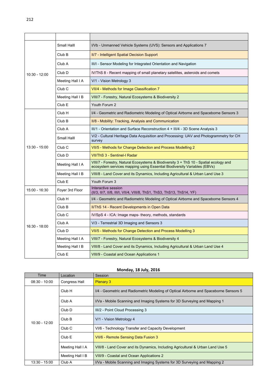| 10:30 - 12:00 | Small Halll       | I/Vb - Unmanned Vehicle Systems (UVS): Sensors and Applications 7                                                                                                 |
|---------------|-------------------|-------------------------------------------------------------------------------------------------------------------------------------------------------------------|
|               | Club B            | <b>II/7 - Intelligent Spatial Decision Support</b>                                                                                                                |
|               | Club A            | III/I - Sensor Modeling for Integrated Orientation and Navigation                                                                                                 |
|               | Club <sub>D</sub> | IV/ThS 8 - Recent mapping of small planetary satellites, asteroids and comets                                                                                     |
|               | Meeting Hall I A  | V/1 - Vision Metrology 3                                                                                                                                          |
|               | Club <sub>C</sub> | VII/4 - Methods for Image Classification 7                                                                                                                        |
|               | Meeting Hall I B  | VIII/7 - Forestry, Natural Ecosystems & Biodiversity 2                                                                                                            |
|               | Club E            | Youth Forum 2                                                                                                                                                     |
|               | Club H            | I/4 - Geometric and Radiometric Modeling of Optical Airborne and Spaceborne Sensors 3                                                                             |
|               | Club B            | II/8 - Mobility: Tracking, Analysis and Communication                                                                                                             |
|               | Club A            | III/1 - Orientation and Surface Reconstruction 4 + III/4 - 3D Scene Analysis 3                                                                                    |
|               | Small Halll       | V/2 - Cultural Heritage Data Acquisition and Processing: UAV and Photogrammetry for CH<br>survey                                                                  |
| 13:30 - 15:00 | Club <sub>C</sub> | VII/5 - Methods for Change Detection and Process Modelling 2                                                                                                      |
|               | Club D            | VII/ThS 3 - Sentinel-I Radar                                                                                                                                      |
|               | Meeting Hall I A  | VIII/7 - Forestry, Natural Ecosystems & Biodiversity 3 + ThS 10 - Spatial ecology and<br>ecosystem services mapping using Essential Biodiversity Variables (EBVs) |
|               | Meeting Hall I B  | VIII/8 - Land Cover and its Dynamics, Including Agricultural & Urban Land Use 3                                                                                   |
|               | Club E            | Youth Forum 3                                                                                                                                                     |
| 15:00 - 16:30 | Foyer 3rd Floor   | Interactive session<br>(11/3, 11/7, 11/8, 111/1, V11/4, V111/8, ThS1, ThS3, ThS13, ThS14, YF)                                                                     |
| 16:30 - 18:00 | Club H            | I/4 - Geometric and Radiometric Modeling of Optical Airborne and Spaceborne Sensors 4                                                                             |
|               | Club B            | II/ThS 14 - Recent Developments in Open Data                                                                                                                      |
|               | Club <sub>C</sub> | IV/SpS 4 - ICA: Image maps- theory, methods, standards                                                                                                            |
|               | Club A            | V/3 - Terrestrial 3D Imaging and Sensors 3                                                                                                                        |
|               | Club <sub>D</sub> | VII/5 - Methods for Change Detection and Process Modelling 3                                                                                                      |
|               | Meeting Hall I A  | VIII/7 - Forestry, Natural Ecosystems & Biodiversity 4                                                                                                            |
|               | Meeting Hall I B  | VIII/8 - Land Cover and its Dynamics, Including Agricultural & Urban Land Use 4                                                                                   |
|               | Club E            | VIII/9 - Coastal and Ocean Applications 1                                                                                                                         |

# **Monday, 18 July, 2016**

| Time            | Location          | Session                                                                               |
|-----------------|-------------------|---------------------------------------------------------------------------------------|
| $08:30 - 10:00$ | Congress Hall     | <b>Plenary 3</b>                                                                      |
| $10:30 - 12:00$ | Club H            | I/4 - Geometric and Radiometric Modeling of Optical Airborne and Spaceborne Sensors 5 |
|                 | Club A            | I/Va - Mobile Scanning and Imaging Systems for 3D Surveying and Mapping 1             |
|                 | Club D            | III/2 - Point Cloud Processing 3                                                      |
|                 | Club B            | V/1 - Vision Metrology 4                                                              |
|                 | Club <sub>C</sub> | VI/6 - Technology Transfer and Capacity Development                                   |
|                 | Club E            | VII/6 - Remote Sensing Data Fusion 3                                                  |
|                 | Meeting Hall I A  | VIII/8 - Land Cover and its Dynamics, Including Agricultural & Urban Land Use 5       |
|                 | Meeting Hall I B  | VIII/9 - Coastal and Ocean Applications 2                                             |
| 13:30 - 15:00   | Club A            | I/Va - Mobile Scanning and Imaging Systems for 3D Surveying and Mapping 2             |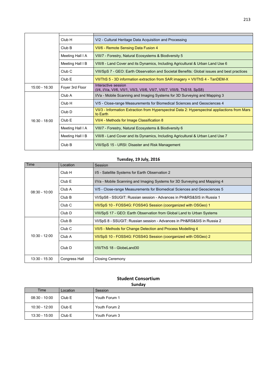|                 | Club <sub>H</sub> | V/2 - Cultural Heritage Data Acquisition and Processing                                                    |
|-----------------|-------------------|------------------------------------------------------------------------------------------------------------|
|                 | Club B            | VII/6 - Remote Sensing Data Fusion 4                                                                       |
|                 | Meeting Hall I A  | VIII/7 - Forestry, Natural Ecosystems & Biodiversity 5                                                     |
|                 | Meeting Hall I B  | VIII/8 - Land Cover and its Dynamics, Including Agricultural & Urban Land Use 6                            |
|                 | Club <sub>C</sub> | VIII/SpS 7 - GEO: Earth Observation and Societal Benefits: Global issues and best practices                |
|                 | Club E            | VII/ThS 5 - 3D information extraction from SAR imagery + VII/ThS 4 - TanDEM-X                              |
| 15:00 - 16:30   | Foyer 3rd Floor   | Interactive session<br>(1/4, I/Va, VI/6, VII/1, VII/3, VII/6, VII/7, VIII/7, VIII/9, ThS18, SpS8)          |
| $16:30 - 18:00$ | Club A            | I/Va - Mobile Scanning and Imaging Systems for 3D Surveying and Mapping 3                                  |
|                 | Club H            | V/5 - Close-range Measurements for Biomedical Sciences and Geosciences 4                                   |
|                 | Club D            | VII/3 - Information Extraction from Hyperspectral Data 2: Hyperspectral appliactions from Mars<br>to Earth |
|                 | Club E            | VII/4 - Methods for Image Classification 8                                                                 |
|                 | Meeting Hall I A  | VIII/7 - Forestry, Natural Ecosystems & Biodiversity 6                                                     |
|                 | Meeting Hall I B  | VIII/8 - Land Cover and its Dynamics, Including Agricultural & Urban Land Use 7                            |
|                 | Club B            | VIII/SpS 15 - URSI: Disaster and Risk Management                                                           |

# **Tuesday, 19 July, 2016**

| Time            | Location          | Session                                                                   |
|-----------------|-------------------|---------------------------------------------------------------------------|
| $08:30 - 10:00$ | Club H            | I/5 - Satellite Systems for Earth Observation 2                           |
|                 | Club E            | I/Va - Mobile Scanning and Imaging Systems for 3D Surveying and Mapping 4 |
|                 | Club A            | V/5 - Close-range Measurements for Biomedical Sciences and Geosciences 5  |
|                 | Club B            | VI/SpS8 - SSUGIT: Russian session - Advances in PH&RS&SIS in Russia 1     |
|                 | Club <sub>C</sub> | VII/SpS 10 - FOSS4G: FOSS4G Session (coorganized with OSGeo) 1            |
|                 | Club D            | VIII/SpS 17 - GEO: Earth Observation from Global Land to Urban Systems    |
| $10:30 - 12:00$ | Club B            | VI/SpS 8 - SSUGIT: Russian session - Advances in PH&RS&SIS in Russia 2    |
|                 | Club <sub>C</sub> | VII/5 - Methods for Change Detection and Process Modelling 4              |
|                 | Club A            | VII/SpS 10 - FOSS4G: FOSS4G Session (coorganized with OSGeo) 2            |
|                 | Club D            | VIII/ThS 18 - GlobeLand30                                                 |
| 13:30 - 15:30   | Congress Hall     | <b>Closing Ceremony</b>                                                   |

# **Student Consortium**

# **Sunday**

| Time            | Location | Session       |
|-----------------|----------|---------------|
| $08:30 - 10:00$ | Club E   | Youth Forum 1 |
| 10:30 - 12:00   | Club E   | Youth Forum 2 |
| 13:30 - 15:00   | Club E   | Youth Forum 3 |